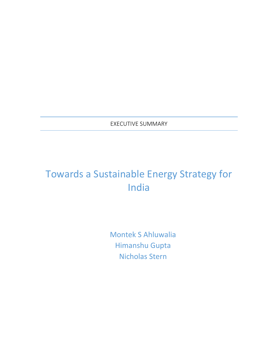EXECUTIVE SUMMARY

# Towards a Sustainable Energy Strategy for India

Montek S Ahluwalia Himanshu Gupta Nicholas Stern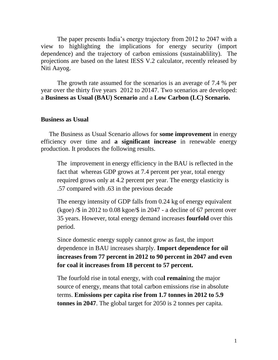The paper presents India's energy trajectory from 2012 to 2047 with a view to highlighting the implications for energy security (import dependence) and the trajectory of carbon emissions (sustainablility). The projections are based on the latest IESS V.2 calculator, recently released by Niti Aayog.

The growth rate assumed for the scenarios is an average of 7.4 % per year over the thirty five years 2012 to 20147. Two scenarios are developed: a **Business as Usual (BAU) Scenario** and a **Low Carbon (LC) Scenario.** 

#### **Business as Usual**

The Business as Usual Scenario allows for **some improvement** in energy efficiency over time and **a significant increase** in renewable energy production. It produces the following results.

The improvement in energy efficiency in the BAU is reflected in the fact that whereas GDP grows at 7.4 percent per year, total energy required grows only at 4.2 percent per year. The energy elasticity is .57 compared with .63 in the previous decade

The energy intensity of GDP falls from 0.24 kg of energy equivalent  $(kqoe)$  /\$ in 2012 to 0.08 kgoe/\$ in 2047 - a decline of 67 percent over 35 years. However, total energy demand increases **fourfold** over this period.

Since domestic energy supply cannot grow as fast, the import dependence in BAU increases sharply. **Import dependence for oil increases from 77 percent in 2012 to 90 percent in 2047 and even for coal it increases from 18 percent to 57 percent.**

The fourfold rise in total energy, with coa**l remain**ing the major source of energy, means that total carbon emissions rise in absolute terms. **Emissions per capita rise from 1.7 tonnes in 2012 to 5.9 tonnes in 2047**. The global target for 2050 is 2 tonnes per capita.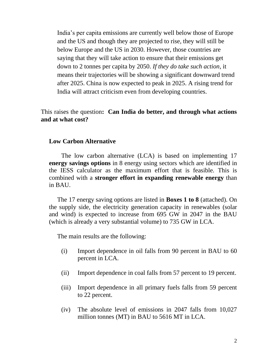India's per capita emissions are currently well below those of Europe and the US and though they are projected to rise, they will still be below Europe and the US in 2030. However, those countries are saying that they will take action to ensure that their emissions get down to 2 tonnes per capita by 2050. *If they do take such action,* it means their trajectories will be showing a significant downward trend after 2025. China is now expected to peak in 2025. A rising trend for India will attract criticism even from developing countries.

This raises the question**: Can India do better, and through what actions and at what cost?**

#### **Low Carbon Alternative**

The low carbon alternative (LCA) is based on implementing 17 **energy savings options** in 8 energy using sectors which are identified in the IESS calculator as the maximum effort that is feasible. This is combined with a **stronger effort in expanding renewable energy** than in BAU.

The 17 energy saving options are listed in **Boxes 1 to 8** (attached). On the supply side, the electricity generation capacity in renewables (solar and wind) is expected to increase from 695 GW in 2047 in the BAU (which is already a very substantial volume) to 735 GW in LCA.

The main results are the following:

- (i) Import dependence in oil falls from 90 percent in BAU to 60 percent in LCA.
- (ii) Import dependence in coal falls from 57 percent to 19 percent.
- (iii) Import dependence in all primary fuels falls from 59 percent to 22 percent.
- (iv) The absolute level of emissions in 2047 falls from 10,027 million tonnes (MT) in BAU to 5616 MT in LCA.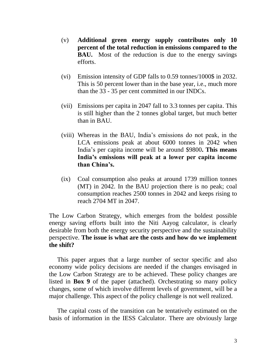- (v) **Additional green energy supply contributes only 10 percent of the total reduction in emissions compared to the BAU.** Most of the reduction is due to the energy savings efforts.
- (vi) Emission intensity of GDP falls to 0.59 tonnes/1000\$ in 2032. This is 50 percent lower than in the base year, i.e., much more than the 33 - 35 per cent committed in our INDCs.
- (vii) Emissions per capita in 2047 fall to 3.3 tonnes per capita. This is still higher than the 2 tonnes global target, but much better than in BAU.
- (viii) Whereas in the BAU, India's emissions do not peak, in the LCA emissions peak at about 6000 tonnes in 2042 when India's per capita income will be around \$9800**. This means India's emissions will peak at a lower per capita income than China's.**
- (ix) Coal consumption also peaks at around 1739 million tonnes (MT) in 2042. In the BAU projection there is no peak; coal consumption reaches 2500 tonnes in 2042 and keeps rising to reach 2704 MT in 2047.

The Low Carbon Strategy, which emerges from the boldest possible energy saving efforts built into the Niti Aayog calculator, is clearly desirable from both the energy security perspective and the sustainability perspective. **The issue is what are the costs and how do we implement the shift?**

This paper argues that a large number of sector specific and also economy wide policy decisions are needed if the changes envisaged in the Low Carbon Strategy are to be achieved. These policy changes are listed in **Box 9** of the paper (attached). Orchestrating so many policy changes, some of which involve different levels of government, will be a major challenge. This aspect of the policy challenge is not well realized.

The capital costs of the transition can be tentatively estimated on the basis of information in the IESS Calculator. There are obviously large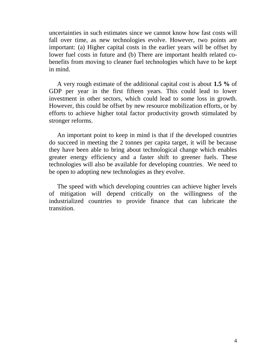uncertainties in such estimates since we cannot know how fast costs will fall over time, as new technologies evolve. However, two points are important: (a) Higher capital costs in the earlier years will be offset by lower fuel costs in future and (b) There are important health related cobenefits from moving to cleaner fuel technologies which have to be kept in mind.

A very rough estimate of the additional capital cost is about **1.5 %** of GDP per year in the first fifteen years. This could lead to lower investment in other sectors, which could lead to some loss in growth. However, this could be offset by new resource mobilization efforts, or by efforts to achieve higher total factor productivity growth stimulated by stronger reforms.

An important point to keep in mind is that if the developed countries do succeed in meeting the 2 tonnes per capita target, it will be because they have been able to bring about technological change which enables greater energy efficiency and a faster shift to greener fuels. These technologies will also be available for developing countries. We need to be open to adopting new technologies as they evolve.

The speed with which developing countries can achieve higher levels of mitigation will depend critically on the willingness of the industrialized countries to provide finance that can lubricate the transition.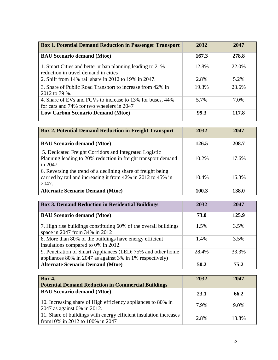| <b>Box 1. Potential Demand Reduction in Passenger Transport</b>                                         | 2032  | 2047  |
|---------------------------------------------------------------------------------------------------------|-------|-------|
| <b>BAU Scenario demand (Mtoe)</b>                                                                       | 167.3 | 278.8 |
| 1. Smart Cities and better urban planning leading to 21%<br>reduction in travel demand in cities        | 12.8% | 22.0% |
| 2. Shift from 14% rail share in 2012 to 19% in 2047.                                                    | 2.8%  | 5.2%  |
| 3. Share of Public Road Transport to increase from 42% in<br>2012 to 79 %.                              | 19.3% | 23.6% |
| 4. Share of EVs and FCVs to increase to 13% for buses, 44%<br>for cars and 74% for two wheelers in 2047 | 5.7%  | 7.0%  |
| <b>Low Carbon Scenario Demand (Mtoe)</b>                                                                | 99.3  | 117.8 |

| <b>Box 2. Potential Demand Reduction in Freight Transport</b>                                                                         | 2032     | 2047  |
|---------------------------------------------------------------------------------------------------------------------------------------|----------|-------|
| <b>BAU Scenario demand (Mtoe)</b>                                                                                                     | 126.5    | 208.7 |
| 5. Dedicated Freight Corridors and Integrated Logistic<br>Planning leading to 20% reduction in freight transport demand<br>in 2047.   | $10.2\%$ | 17.6% |
| 6. Reversing the trend of a declining share of freight being<br>carried by rail and increasing it from 42% in 2012 to 45% in<br>2047. | 10.4%    | 16.3% |
| <b>Alternate Scenario Demand (Mtoe)</b>                                                                                               | 100.3    | 138.0 |

| <b>Box 3. Demand Reduction in Residential Buildings</b>                                                                 | 2032    | 2047  |
|-------------------------------------------------------------------------------------------------------------------------|---------|-------|
| <b>BAU Scenario demand (Mtoe)</b>                                                                                       | 73.0    | 125.9 |
| 7. High rise buildings constituting 60% of the overall buildings<br>space in 2047 from 34% in 2012                      | $1.5\%$ | 3.5%  |
| 8. More than 80% of the buildings have energy efficient<br>insulations compared to 0% in 2012.                          | 1.4%    | 3.5%  |
| 9. Penetration of Smart Appliances (LED: 75% and other home<br>appliances 80% in 2047 as against 3% in 1% respectively) | 28.4%   | 33.3% |
| <b>Alternate Scenario Demand (Mtoe)</b>                                                                                 | 50.2    | 75.2  |

| <b>Box 4.</b><br><b>Potential Demand Reduction in Commercial Buildings</b>                            | 2032 | 2047    |
|-------------------------------------------------------------------------------------------------------|------|---------|
| <b>BAU Scenario demand (Mtoe)</b>                                                                     | 23.1 | 66.2    |
| 10. Increasing share of High efficiency appliances to 80% in<br>2047 as against 0% in 2012.           | 7.9% | $9.0\%$ |
| 11. Share of buildings with energy efficient insulation increases<br>from 10% in 2012 to 100% in 2047 | 2.8% | 13.8%   |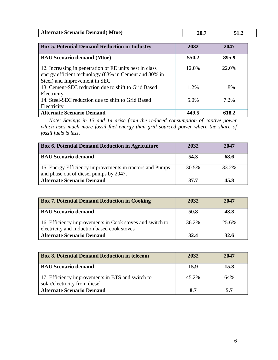| <b>Box 5. Potential Demand Reduction in Industry</b>                                                                                              | 2032  | 2047    |
|---------------------------------------------------------------------------------------------------------------------------------------------------|-------|---------|
| <b>BAU Scenario demand (Mtoe)</b>                                                                                                                 | 550.2 | 895.9   |
| 12. Increasing in penetration of EE units best in class<br>energy efficient technology (83% in Cement and 80% in<br>Steel) and Improvement in SEC | 12.0% | 22.0%   |
| 13. Cement-SEC reduction due to shift to Grid Based<br>Electricity                                                                                | 1.2%  | 1.8%    |
| 14. Steel-SEC reduction due to shift to Grid Based<br>Electricity                                                                                 | 5.0%  | $7.2\%$ |
| <b>Alternate Scenario Demand</b>                                                                                                                  | 449.5 | 618.2   |

*Note: Savings in 13 and 14 arise from the reduced consumption of captive power which uses much more fossil fuel energy than grid sourced power where the share of fossil fuels is less*.

| <b>Box 6. Potential Demand Reduction in Agriculture</b>                                            | 2032  | 2047  |  |
|----------------------------------------------------------------------------------------------------|-------|-------|--|
| <b>BAU Scenario demand</b>                                                                         | 54.3  | 68.6  |  |
| 15. Energy Efficiency improvements in tractors and Pumps<br>and phase out of diesel pumps by 2047. | 30.5% | 33.2% |  |
| <b>Alternate Scenario Demand</b>                                                                   | 37.7  | 45.8  |  |

| <b>Box 7. Potential Demand Reduction in Cooking</b>                                                     | 2032     | 2047  |
|---------------------------------------------------------------------------------------------------------|----------|-------|
| <b>BAU Scenario demand</b>                                                                              | 50.8     | 43.8  |
| 16. Efficiency improvements in Cook stoves and switch to<br>electricity and Induction based cook stoves | $36.2\%$ | 25.6% |
| <b>Alternate Scenario Demand</b>                                                                        | 32.4     | 32.6  |

| <b>Box 8. Potential Demand Reduction in telecom</b>                               | 2032  | 2047 |
|-----------------------------------------------------------------------------------|-------|------|
| <b>BAU Scenario demand</b>                                                        | 15.9  | 15.8 |
| 17. Efficiency improvements in BTS and switch to<br>solar/electricity from diesel | 45.2% | 64%  |
| <b>Alternate Scenario Demand</b>                                                  | 8.7   | 5.7  |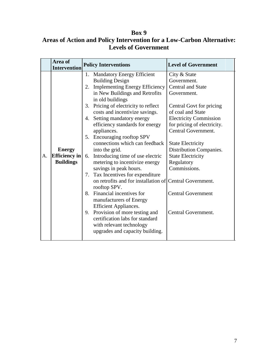### **Box 9**

## **Areas of Action and Policy Intervention for a Low-Carbon Alternative: Levels of Government**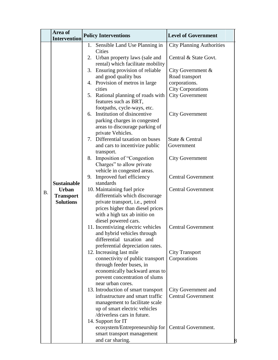|           | Area of                                                                                           | <b>Policy Interventions</b>                                                                                                                                                                                                                                                                                                                                                                                                                                                                                                                                                                                                                                                                                                                                                                                                                                                                                                                                                                                                                                                                                                                                                                                                                                                                                                                  | <b>Level of Government</b>                                                                                                                                                                                                                                                                                                                                                                                                                          |
|-----------|---------------------------------------------------------------------------------------------------|----------------------------------------------------------------------------------------------------------------------------------------------------------------------------------------------------------------------------------------------------------------------------------------------------------------------------------------------------------------------------------------------------------------------------------------------------------------------------------------------------------------------------------------------------------------------------------------------------------------------------------------------------------------------------------------------------------------------------------------------------------------------------------------------------------------------------------------------------------------------------------------------------------------------------------------------------------------------------------------------------------------------------------------------------------------------------------------------------------------------------------------------------------------------------------------------------------------------------------------------------------------------------------------------------------------------------------------------|-----------------------------------------------------------------------------------------------------------------------------------------------------------------------------------------------------------------------------------------------------------------------------------------------------------------------------------------------------------------------------------------------------------------------------------------------------|
| <b>B.</b> | <b>Intervention</b><br><b>Sustainable</b><br><b>Urban</b><br><b>Transport</b><br><b>Solutions</b> | 1. Sensible Land Use Planning in<br>Cities<br>2. Urban property laws (sale and<br>rental) which facilitate mobility<br>Ensuring provision of reliable<br>3.<br>and good quality bus<br>4. Provision of metros in large<br>cities<br>Rational planning of roads with<br>5.<br>features such as BRT,<br>footpaths, cycle-ways, etc.<br>Institution of disincentive<br>6.<br>parking charges in congested<br>areas to discourage parking of<br>private Vehicles.<br>Differential taxation on buses<br>7.<br>and cars to incentivize public<br>transport.<br>Imposition of "Congestion"<br>8.<br>Charges" to allow private<br>vehicle in congested areas.<br>Improved fuel efficiency<br>9.<br>standards<br>10. Maintaining fuel price<br>differentials which discourage<br>private transport, i.e., petrol<br>prices higher than diesel prices<br>with a high tax ab initio on<br>diesel powered cars.<br>11. Incentivizing electric vehicles<br>and hybrid vehicles through<br>differential taxation and<br>preferential depreciation rates.<br>12. Increasing last mile<br>connectivity of public transport<br>through feeder buses, in<br>economically backward areas to<br>prevent concentration of slums<br>near urban cores.<br>13. Introduction of smart transport<br>infrastructure and smart traffic<br>management to facilitate scale | <b>City Planning Authorities</b><br>Central & State Govt.<br>City Government $\&$<br>Road transport<br>corporations.<br><b>City Corporations</b><br><b>City Government</b><br><b>City Government</b><br>State & Central<br>Government<br><b>City Government</b><br><b>Central Government</b><br><b>Central Government</b><br><b>Central Government</b><br><b>City Transport</b><br>Corporations<br>City Government and<br><b>Central Government</b> |
|           |                                                                                                   | up of smart electric vehicles<br>/driverless cars in future.<br>14. Support for IT<br>ecosystem/Entrepreneurship for<br>smart transport management<br>and car sharing.                                                                                                                                                                                                                                                                                                                                                                                                                                                                                                                                                                                                                                                                                                                                                                                                                                                                                                                                                                                                                                                                                                                                                                       | Central Government.                                                                                                                                                                                                                                                                                                                                                                                                                                 |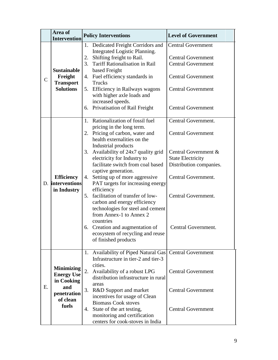|              | Area of<br><b>Intervention</b>                                                                  | <b>Policy Interventions</b>                                                                                                                                                                                                                                                                                                                                                                                                                                                                                                                                                                                                                        | <b>Level of Government</b>                                                                                                                                                                           |
|--------------|-------------------------------------------------------------------------------------------------|----------------------------------------------------------------------------------------------------------------------------------------------------------------------------------------------------------------------------------------------------------------------------------------------------------------------------------------------------------------------------------------------------------------------------------------------------------------------------------------------------------------------------------------------------------------------------------------------------------------------------------------------------|------------------------------------------------------------------------------------------------------------------------------------------------------------------------------------------------------|
| $\mathsf{C}$ | <b>Sustainable</b><br>Freight<br><b>Transport</b><br><b>Solutions</b>                           | 1. Dedicated Freight Corridors and<br>Integrated Logistic Planning.<br>Shifting freight to Rail.<br>2.<br><b>Tariff Rationalisation in Rail</b><br>3.<br>based Freight<br>4. Fuel efficiency standards in<br>Trucks<br>5. Efficiency in Railways wagons<br>with higher axle loads and<br>increased speeds.<br>6. Privatisation of Rail Freight                                                                                                                                                                                                                                                                                                     | <b>Central Government</b><br><b>Central Government</b><br><b>Central Government</b><br><b>Central Government</b><br><b>Central Government</b><br><b>Central Government</b>                           |
|              | <b>Efficiency</b><br>D. interventions<br>in Industry                                            | Rationalization of fossil fuel<br>1.<br>pricing in the long term.<br>2. Pricing of carbon, water and<br>health externalities on the<br>Industrial products<br>3. Availability of 24x7 quality grid<br>electricity for Industry to<br>facilitate switch from coal based<br>captive generation.<br>Setting up of more aggressive<br>4.<br>PAT targets for increasing energy<br>efficiency<br>facilitation of transfer of low-<br>$5_{-}$<br>carbon and energy efficiency<br>technologies for steel and cement<br>from Annex-1 to Annex 2<br>countries<br>6. Creation and augmentation of<br>ecosystem of recycling and reuse<br>of finished products | Central Government.<br><b>Central Government</b><br>Central Government &<br><b>State Electricity</b><br>Distribution companies.<br>Central Government.<br>Central Government.<br>Central Government. |
| E.           | <b>Minimizing</b><br><b>Energy Use</b><br>in Cooking<br>and<br>penetration<br>of clean<br>fuels | Availability of Piped Natural Gas<br>1.<br>Infrastructure in tier-2 and tier-3<br>cities.<br>2.<br>Availability of a robust LPG<br>distribution infrastructure in rural<br>areas<br>3.<br>R&D Support and market<br>incentives for usage of Clean<br><b>Biomass Cook stoves</b><br>State of the art testing,<br>4.<br>monitoring and certification<br>centers for cook-stoves in India                                                                                                                                                                                                                                                             | <b>Central Government</b><br><b>Central Government</b><br><b>Central Government</b><br><b>Central Government</b>                                                                                     |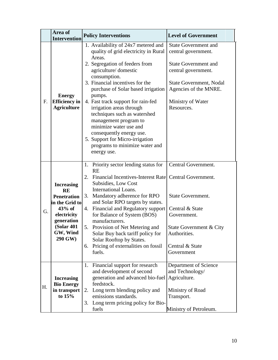|    | Area of<br><b>Intervention</b>                                                                                                                               | <b>Policy Interventions</b>                                                                                                                                                                                                                                                                                                                                                                                                                                                                      | <b>Level of Government</b>                                                                                                                                       |
|----|--------------------------------------------------------------------------------------------------------------------------------------------------------------|--------------------------------------------------------------------------------------------------------------------------------------------------------------------------------------------------------------------------------------------------------------------------------------------------------------------------------------------------------------------------------------------------------------------------------------------------------------------------------------------------|------------------------------------------------------------------------------------------------------------------------------------------------------------------|
|    |                                                                                                                                                              | 1. Availability of 24x7 metered and                                                                                                                                                                                                                                                                                                                                                                                                                                                              | <b>State Government and</b>                                                                                                                                      |
| F. | <b>Energy</b><br><b>Efficiency</b> in<br><b>Agriculture</b>                                                                                                  | quality of grid electricity in Rural<br>Areas.<br>2. Segregation of feeders from<br>agriculture/domestic<br>consumption.<br>3. Financial incentives for the<br>purchase of Solar based irrigation<br>pumps.<br>4. Fast track support for rain-fed<br>irrigation areas through<br>techniques such as watershed<br>management program to<br>minimize water use and<br>consequently energy use.<br>5. Support for Micro-irrigation<br>programs to minimize water and<br>energy use.                 | central government.<br><b>State Government and</b><br>central government.<br>State Government, Nodal<br>Agencies of the MNRE.<br>Ministry of Water<br>Resources. |
| G. | <b>Increasing</b><br><b>RE</b><br><b>Penetration</b><br>in the Grid to<br>$43%$ of<br>electricity<br>generation<br><b>(Solar 401)</b><br>GW, Wind<br>290 GW) | 1. Priority sector lending status for<br><b>RE</b><br>Financial Incentives-Interest Rate Central Government.<br>2.<br>Subsidies, Low Cost<br><b>International Loans.</b><br>Mandatory adherence for RPO<br>3.<br>and Solar RPO targets by states.<br>4. Financial and Regulatory support<br>for Balance of System (BOS)<br>manufacturers.<br>5. Provision of Net Metering and<br>Solar Buy back tariff policy for<br>Solar Rooftop by States.<br>6. Pricing of externalities on fossil<br>fuels. | Central Government.<br>State Government.<br>Central & State<br>Government.<br>State Government & City<br>Authorities.<br>Central & State<br>Government           |
| Н. | <b>Increasing</b><br><b>Bio Energy</b><br>in transport<br>to 15%                                                                                             | Financial support for research<br>1.<br>and development of second<br>generation and advanced bio-fuel<br>feedstock.<br>Long term blending policy and<br>2.<br>emissions standards.<br>3. Long term pricing policy for Bio-<br>fuels                                                                                                                                                                                                                                                              | Department of Science<br>and Technology/<br>Agriculture.<br>Ministry of Road<br>Transport.<br>Ministry of Petroleum.                                             |